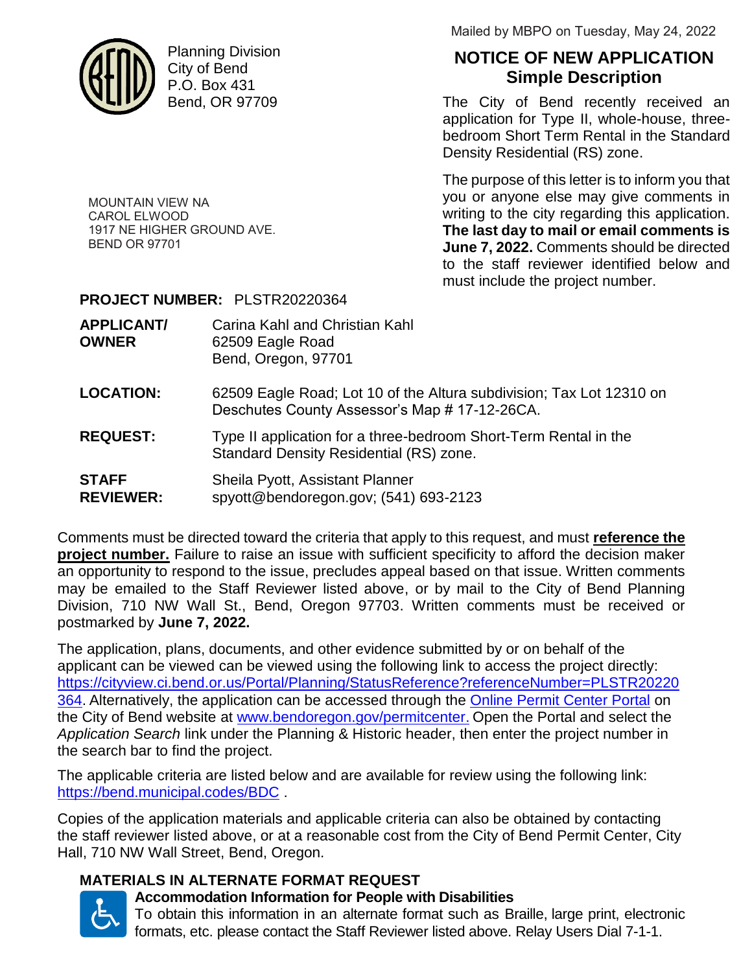

MOUNTAIN VIEW NA CAROL ELWOOD

BEND OR 97701

1917 NE HIGHER GROUND AVE.

Planning Division City of Bend P.O. Box 431 Bend, OR 97709

Mailed by MBPO on Tuesday, May 24, 2022

# **NOTICE OF NEW APPLICATION Simple Description**

The City of Bend recently received an application for Type II, whole-house, threebedroom Short Term Rental in the Standard Density Residential (RS) zone.

The purpose of this letter is to inform you that you or anyone else may give comments in writing to the city regarding this application. **The last day to mail or email comments is June 7, 2022.** Comments should be directed to the staff reviewer identified below and must include the project number.

#### **PROJECT NUMBER:** PLSTR20220364

| Carina Kahl and Christian Kahl |
|--------------------------------|
|                                |
|                                |
|                                |

- **LOCATION:** 62509 Eagle Road; Lot 10 of the Altura subdivision; Tax Lot 12310 on Deschutes County Assessor's Map # 17-12-26CA.
- **REQUEST:** Type II application for a three-bedroom Short-Term Rental in the Standard Density Residential (RS) zone.
- **STAFF** Sheila Pyott, Assistant Planner **REVIEWER:** spyott@bendoregon.gov; (541) 693-2123

Comments must be directed toward the criteria that apply to this request, and must **reference the project number.** Failure to raise an issue with sufficient specificity to afford the decision maker an opportunity to respond to the issue, precludes appeal based on that issue. Written comments may be emailed to the Staff Reviewer listed above, or by mail to the City of Bend Planning Division, 710 NW Wall St., Bend, Oregon 97703. Written comments must be received or postmarked by **June 7, 2022.**

The application, plans, documents, and other evidence submitted by or on behalf of the applicant can be viewed can be viewed using the following link to access the project directly: https://cityview.ci.bend.or.us/Portal/Planning/StatusReference?referenceNumber=PLSTR20220 364. Alternatively, the application can be accessed through the Online Permit Center Portal on the City of Bend website at www.bendoregon.gov/permitcenter. Open the Portal and select the *Application Search* link under the Planning & Historic header, then enter the project number in the search bar to find the project.

The applicable criteria are listed below and are available for review using the following link: https://bend.municipal.codes/BDC .

Copies of the application materials and applicable criteria can also be obtained by contacting the staff reviewer listed above, or at a reasonable cost from the City of Bend Permit Center, City Hall, 710 NW Wall Street, Bend, Oregon.

### **MATERIALS IN ALTERNATE FORMAT REQUEST**



## **Accommodation Information for People with Disabilities**

To obtain this information in an alternate format such as Braille, large print, electronic formats, etc. please contact the Staff Reviewer listed above. Relay Users Dial 7-1-1.